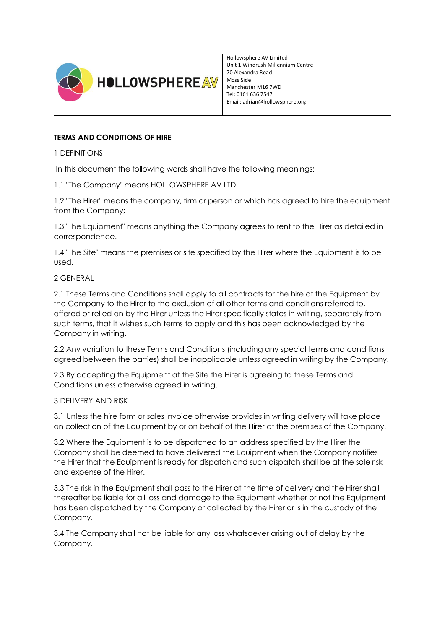

Hollowsphere AV Limited Unit 1 Windrush Millennium Centre 70 Alexandra Road Moss Side Manchester M16 7WD Tel: 0161 636 7547 Email: adrian@hollowsphere.org

# **TERMS AND CONDITIONS OF HIRE**

1 DEFINITIONS

In this document the following words shall have the following meanings:

1.1 "The Company" means HOLLOWSPHERE AV LTD

1.2 "The Hirer" means the company, firm or person or which has agreed to hire the equipment from the Company;

1.3 "The Equipment" means anything the Company agrees to rent to the Hirer as detailed in correspondence.

1.4 "The Site" means the premises or site specified by the Hirer where the Equipment is to be used.

2 GENERAL

2.1 These Terms and Conditions shall apply to all contracts for the hire of the Equipment by the Company to the Hirer to the exclusion of all other terms and conditions referred to, offered or relied on by the Hirer unless the Hirer specifically states in writing, separately from such terms, that it wishes such terms to apply and this has been acknowledged by the Company in writing.

2.2 Any variation to these Terms and Conditions (including any special terms and conditions agreed between the parties) shall be inapplicable unless agreed in writing by the Company.

2.3 By accepting the Equipment at the Site the Hirer is agreeing to these Terms and Conditions unless otherwise agreed in writing.

## 3 DELIVERY AND RISK

3.1 Unless the hire form or sales invoice otherwise provides in writing delivery will take place on collection of the Equipment by or on behalf of the Hirer at the premises of the Company.

3.2 Where the Equipment is to be dispatched to an address specified by the Hirer the Company shall be deemed to have delivered the Equipment when the Company notifies the Hirer that the Equipment is ready for dispatch and such dispatch shall be at the sole risk and expense of the Hirer.

3.3 The risk in the Equipment shall pass to the Hirer at the time of delivery and the Hirer shall thereafter be liable for all loss and damage to the Equipment whether or not the Equipment has been dispatched by the Company or collected by the Hirer or is in the custody of the Company.

3.4 The Company shall not be liable for any loss whatsoever arising out of delay by the Company.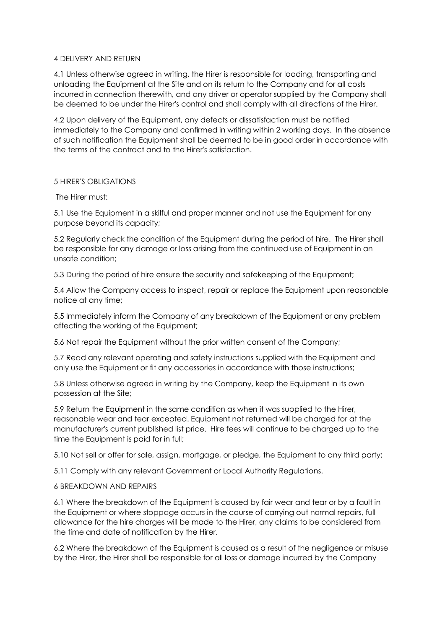### 4 DELIVERY AND RETURN

4.1 Unless otherwise agreed in writing, the Hirer is responsible for loading, transporting and unloading the Equipment at the Site and on its return to the Company and for all costs incurred in connection therewith, and any driver or operator supplied by the Company shall be deemed to be under the Hirer's control and shall comply with all directions of the Hirer.

4.2 Upon delivery of the Equipment, any defects or dissatisfaction must be notified immediately to the Company and confirmed in writing within 2 working days. In the absence of such notification the Equipment shall be deemed to be in good order in accordance with the terms of the contract and to the Hirer's satisfaction.

### 5 HIRER'S OBLIGATIONS

The Hirer must:

5.1 Use the Equipment in a skilful and proper manner and not use the Equipment for any purpose beyond its capacity;

5.2 Regularly check the condition of the Equipment during the period of hire. The Hirer shall be responsible for any damage or loss arising from the continued use of Equipment in an unsafe condition;

5.3 During the period of hire ensure the security and safekeeping of the Equipment;

5.4 Allow the Company access to inspect, repair or replace the Equipment upon reasonable notice at any time;

5.5 Immediately inform the Company of any breakdown of the Equipment or any problem affecting the working of the Equipment;

5.6 Not repair the Equipment without the prior written consent of the Company;

5.7 Read any relevant operating and safety instructions supplied with the Equipment and only use the Equipment or fit any accessories in accordance with those instructions;

5.8 Unless otherwise agreed in writing by the Company, keep the Equipment in its own possession at the Site;

5.9 Return the Equipment in the same condition as when it was supplied to the Hirer, reasonable wear and tear excepted. Equipment not returned will be charged for at the manufacturer's current published list price. Hire fees will continue to be charged up to the time the Equipment is paid for in full;

5.10 Not sell or offer for sale, assign, mortgage, or pledge, the Equipment to any third party;

5.11 Comply with any relevant Government or Local Authority Regulations.

### 6 BREAKDOWN AND REPAIRS

6.1 Where the breakdown of the Equipment is caused by fair wear and tear or by a fault in the Equipment or where stoppage occurs in the course of carrying out normal repairs, full allowance for the hire charges will be made to the Hirer, any claims to be considered from the time and date of notification by the Hirer.

6.2 Where the breakdown of the Equipment is caused as a result of the negligence or misuse by the Hirer, the Hirer shall be responsible for all loss or damage incurred by the Company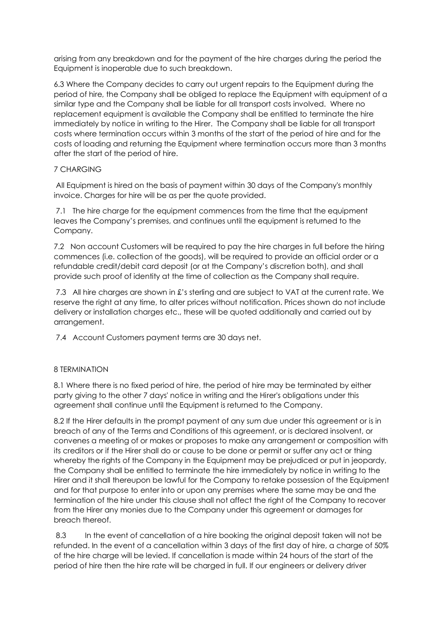arising from any breakdown and for the payment of the hire charges during the period the Equipment is inoperable due to such breakdown.

6.3 Where the Company decides to carry out urgent repairs to the Equipment during the period of hire, the Company shall be obliged to replace the Equipment with equipment of a similar type and the Company shall be liable for all transport costs involved. Where no replacement equipment is available the Company shall be entitled to terminate the hire immediately by notice in writing to the Hirer. The Company shall be liable for all transport costs where termination occurs within 3 months of the start of the period of hire and for the costs of loading and returning the Equipment where termination occurs more than 3 months after the start of the period of hire.

### 7 CHARGING

All Equipment is hired on the basis of payment within 30 days of the Company's monthly invoice. Charges for hire will be as per the quote provided.

7.1 The hire charge for the equipment commences from the time that the equipment leaves the Company's premises, and continues until the equipment is returned to the Company.

7.2 Non account Customers will be required to pay the hire charges in full before the hiring commences (i.e. collection of the goods), will be required to provide an official order or a refundable credit/debit card deposit (or at the Company's discretion both), and shall provide such proof of identity at the time of collection as the Company shall require.

7.3 All hire charges are shown in £'s sterling and are subject to VAT at the current rate. We reserve the right at any time, to alter prices without notification. Prices shown do not include delivery or installation charges etc., these will be quoted additionally and carried out by arrangement.

7.4 Account Customers payment terms are 30 days net.

## 8 TERMINATION

8.1 Where there is no fixed period of hire, the period of hire may be terminated by either party giving to the other 7 days' notice in writing and the Hirer's obligations under this agreement shall continue until the Equipment is returned to the Company.

8.2 If the Hirer defaults in the prompt payment of any sum due under this agreement or is in breach of any of the Terms and Conditions of this agreement, or is declared insolvent, or convenes a meeting of or makes or proposes to make any arrangement or composition with its creditors or if the Hirer shall do or cause to be done or permit or suffer any act or thing whereby the rights of the Company in the Equipment may be prejudiced or put in jeopardy, the Company shall be entitled to terminate the hire immediately by notice in writing to the Hirer and it shall thereupon be lawful for the Company to retake possession of the Equipment and for that purpose to enter into or upon any premises where the same may be and the termination of the hire under this clause shall not affect the right of the Company to recover from the Hirer any monies due to the Company under this agreement or damages for breach thereof.

8.3 In the event of cancellation of a hire booking the original deposit taken will not be refunded. In the event of a cancellation within 3 days of the first day of hire, a charge of 50% of the hire charge will be levied. If cancellation is made within 24 hours of the start of the period of hire then the hire rate will be charged in full. If our engineers or delivery driver